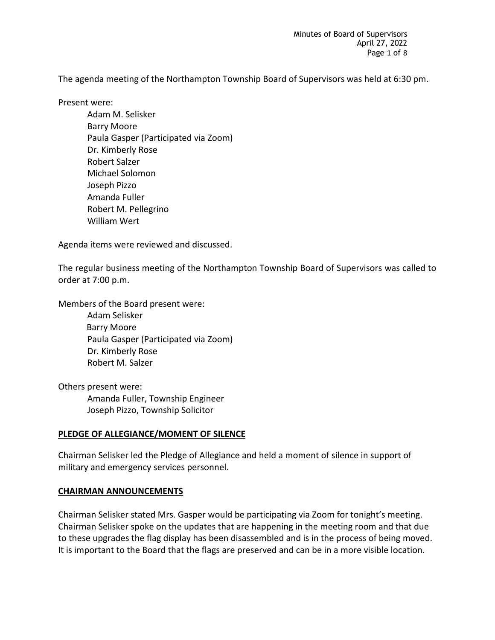Minutes of Board of Supervisors April 27, 2022 Page 1 of 8

The agenda meeting of the Northampton Township Board of Supervisors was held at 6:30 pm.

Present were:

Adam M. Selisker Barry Moore Paula Gasper (Participated via Zoom) Dr. Kimberly Rose Robert Salzer Michael Solomon Joseph Pizzo Amanda Fuller Robert M. Pellegrino William Wert

Agenda items were reviewed and discussed.

The regular business meeting of the Northampton Township Board of Supervisors was called to order at 7:00 p.m.

Members of the Board present were:

Adam Selisker Barry Moore Paula Gasper (Participated via Zoom) Dr. Kimberly Rose Robert M. Salzer

Others present were: Amanda Fuller, Township Engineer Joseph Pizzo, Township Solicitor

## **PLEDGE OF ALLEGIANCE/MOMENT OF SILENCE**

Chairman Selisker led the Pledge of Allegiance and held a moment of silence in support of military and emergency services personnel.

## **CHAIRMAN ANNOUNCEMENTS**

Chairman Selisker stated Mrs. Gasper would be participating via Zoom for tonight's meeting. Chairman Selisker spoke on the updates that are happening in the meeting room and that due to these upgrades the flag display has been disassembled and is in the process of being moved. It is important to the Board that the flags are preserved and can be in a more visible location.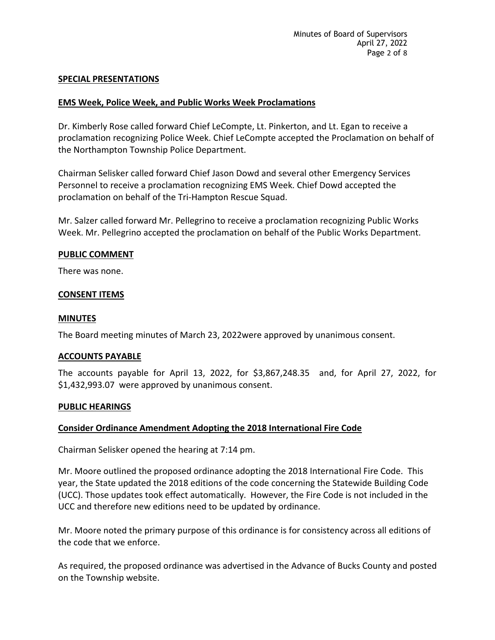## **SPECIAL PRESENTATIONS**

# **EMS Week, Police Week, and Public Works Week Proclamations**

Dr. Kimberly Rose called forward Chief LeCompte, Lt. Pinkerton, and Lt. Egan to receive a proclamation recognizing Police Week. Chief LeCompte accepted the Proclamation on behalf of the Northampton Township Police Department.

Chairman Selisker called forward Chief Jason Dowd and several other Emergency Services Personnel to receive a proclamation recognizing EMS Week. Chief Dowd accepted the proclamation on behalf of the Tri-Hampton Rescue Squad.

Mr. Salzer called forward Mr. Pellegrino to receive a proclamation recognizing Public Works Week. Mr. Pellegrino accepted the proclamation on behalf of the Public Works Department.

## **PUBLIC COMMENT**

There was none.

## **CONSENT ITEMS**

## **MINUTES**

The Board meeting minutes of March 23, 2022were approved by unanimous consent.

## **ACCOUNTS PAYABLE**

The accounts payable for April 13, 2022, for \$3,867,248.35 and, for April 27, 2022, for \$1,432,993.07 were approved by unanimous consent.

## **PUBLIC HEARINGS**

## **Consider Ordinance Amendment Adopting the 2018 International Fire Code**

Chairman Selisker opened the hearing at 7:14 pm.

Mr. Moore outlined the proposed ordinance adopting the 2018 International Fire Code. This year, the State updated the 2018 editions of the code concerning the Statewide Building Code (UCC). Those updates took effect automatically. However, the Fire Code is not included in the UCC and therefore new editions need to be updated by ordinance.

Mr. Moore noted the primary purpose of this ordinance is for consistency across all editions of the code that we enforce.

As required, the proposed ordinance was advertised in the Advance of Bucks County and posted on the Township website.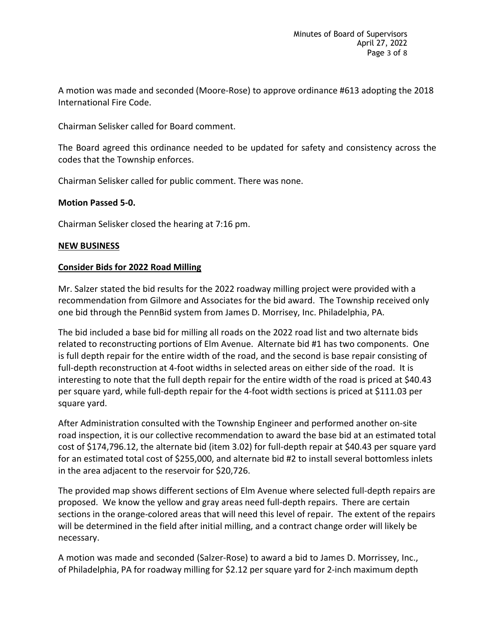A motion was made and seconded (Moore-Rose) to approve ordinance #613 adopting the 2018 International Fire Code.

Chairman Selisker called for Board comment.

The Board agreed this ordinance needed to be updated for safety and consistency across the codes that the Township enforces.

Chairman Selisker called for public comment. There was none.

# **Motion Passed 5-0.**

Chairman Selisker closed the hearing at 7:16 pm.

# **NEW BUSINESS**

## **Consider Bids for 2022 Road Milling**

Mr. Salzer stated the bid results for the 2022 roadway milling project were provided with a recommendation from Gilmore and Associates for the bid award. The Township received only one bid through the PennBid system from James D. Morrisey, Inc. Philadelphia, PA.

The bid included a base bid for milling all roads on the 2022 road list and two alternate bids related to reconstructing portions of Elm Avenue. Alternate bid #1 has two components. One is full depth repair for the entire width of the road, and the second is base repair consisting of full-depth reconstruction at 4-foot widths in selected areas on either side of the road. It is interesting to note that the full depth repair for the entire width of the road is priced at \$40.43 per square yard, while full-depth repair for the 4-foot width sections is priced at \$111.03 per square yard.

After Administration consulted with the Township Engineer and performed another on-site road inspection, it is our collective recommendation to award the base bid at an estimated total cost of \$174,796.12, the alternate bid (item 3.02) for full-depth repair at \$40.43 per square yard for an estimated total cost of \$255,000, and alternate bid #2 to install several bottomless inlets in the area adjacent to the reservoir for \$20,726.

The provided map shows different sections of Elm Avenue where selected full-depth repairs are proposed. We know the yellow and gray areas need full-depth repairs. There are certain sections in the orange-colored areas that will need this level of repair. The extent of the repairs will be determined in the field after initial milling, and a contract change order will likely be necessary.

A motion was made and seconded (Salzer-Rose) to award a bid to James D. Morrissey, Inc., of Philadelphia, PA for roadway milling for \$2.12 per square yard for 2-inch maximum depth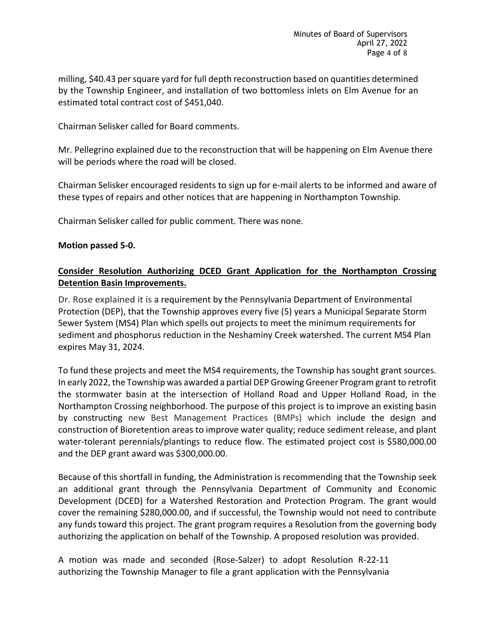milling, \$40.43 per square yard for full depth reconstruction based on quantities determined by the Township Engineer, and installation of two bottomless inlets on Elm Avenue for an estimated total contract cost of \$451,040.

Chairman Selisker called for Board comments.

Mr. Pellegrino explained due to the reconstruction that will be happening on Elm Avenue there will be periods where the road will be closed.

Chairman Selisker encouraged residents to sign up for e-mail alerts to be informed and aware of these types of repairs and other notices that are happening in Northampton Township.

Chairman Selisker called for public comment. There was none.

# **Motion passed 5-0.**

# **Consider Resolution Authorizing DCED Grant Application for the Northampton Crossing Detention Basin Improvements.**

Dr. Rose explained it is a requirement by the Pennsylvania Department of Environmental Protection (DEP), that the Township approves every five (5) years a Municipal Separate Storm Sewer System (MS4) Plan which spells out projects to meet the minimum requirements for sediment and phosphorus reduction in the Neshaminy Creek watershed. The current MS4 Plan expires May 31, 2024.

To fund these projects and meet the MS4 requirements, the Township has sought grant sources. In early 2022, the Township was awarded a partial DEP Growing Greener Program grant to retrofit the stormwater basin at the intersection of Holland Road and Upper Holland Road, in the Northampton Crossing neighborhood. The purpose of this project is to improve an existing basin by constructing new Best Management Practices (BMPs) which include the design and construction of Bioretention areas to improve water quality; reduce sediment release, and plant water-tolerant perennials/plantings to reduce flow. The estimated project cost is \$580,000.00 and the DEP grant award was \$300,000.00.

Because of this shortfall in funding, the Administration is recommending that the Township seek an additional grant through the Pennsylvania Department of Community and Economic Development (DCED) for a Watershed Restoration and Protection Program. The grant would cover the remaining \$280,000.00, and if successful, the Township would not need to contribute any funds toward this project. The grant program requires a Resolution from the governing body authorizing the application on behalf of the Township. A proposed resolution was provided.

A motion was made and seconded (Rose-Salzer) to adopt Resolution R-22-11 authorizing the Township Manager to file a grant application with the Pennsylvania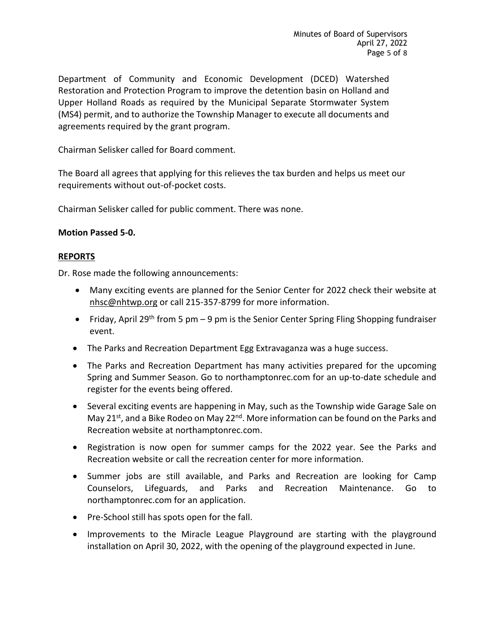Department of Community and Economic Development (DCED) Watershed Restoration and Protection Program to improve the detention basin on Holland and Upper Holland Roads as required by the Municipal Separate Stormwater System (MS4) permit, and to authorize the Township Manager to execute all documents and agreements required by the grant program.

Chairman Selisker called for Board comment.

The Board all agrees that applying for this relieves the tax burden and helps us meet our requirements without out-of-pocket costs.

Chairman Selisker called for public comment. There was none.

# **Motion Passed 5-0.**

# **REPORTS**

Dr. Rose made the following announcements:

- Many exciting events are planned for the Senior Center for 2022 check their website at [nhsc@nhtwp.org](mailto:nhsc@nhtwp.org) or call 215-357-8799 for more information.
- Friday, April 29<sup>th</sup> from 5 pm 9 pm is the Senior Center Spring Fling Shopping fundraiser event.
- The Parks and Recreation Department Egg Extravaganza was a huge success.
- The Parks and Recreation Department has many activities prepared for the upcoming Spring and Summer Season. Go to northamptonrec.com for an up-to-date schedule and register for the events being offered.
- Several exciting events are happening in May, such as the Township wide Garage Sale on May 21<sup>st</sup>, and a Bike Rodeo on May 22<sup>nd</sup>. More information can be found on the Parks and Recreation website at northamptonrec.com.
- Registration is now open for summer camps for the 2022 year. See the Parks and Recreation website or call the recreation center for more information.
- Summer jobs are still available, and Parks and Recreation are looking for Camp Counselors, Lifeguards, and Parks and Recreation Maintenance. Go to northamptonrec.com for an application.
- Pre-School still has spots open for the fall.
- Improvements to the Miracle League Playground are starting with the playground installation on April 30, 2022, with the opening of the playground expected in June.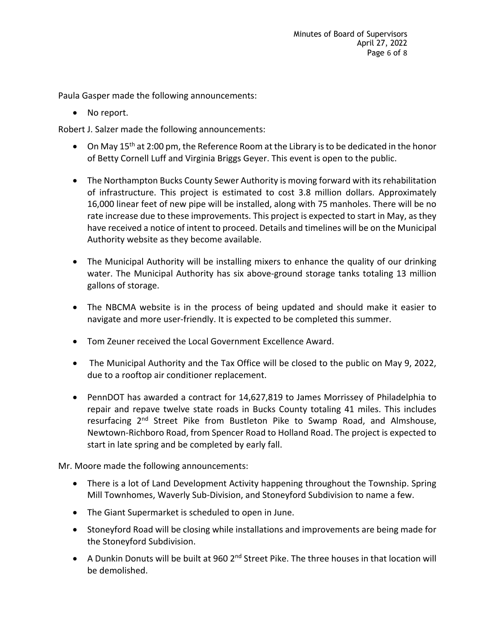Paula Gasper made the following announcements:

• No report.

Robert J. Salzer made the following announcements:

- On May 15<sup>th</sup> at 2:00 pm, the Reference Room at the Library is to be dedicated in the honor of Betty Cornell Luff and Virginia Briggs Geyer. This event is open to the public.
- The Northampton Bucks County Sewer Authority is moving forward with its rehabilitation of infrastructure. This project is estimated to cost 3.8 million dollars. Approximately 16,000 linear feet of new pipe will be installed, along with 75 manholes. There will be no rate increase due to these improvements. This project is expected to start in May, as they have received a notice of intent to proceed. Details and timelines will be on the Municipal Authority website as they become available.
- The Municipal Authority will be installing mixers to enhance the quality of our drinking water. The Municipal Authority has six above-ground storage tanks totaling 13 million gallons of storage.
- The NBCMA website is in the process of being updated and should make it easier to navigate and more user-friendly. It is expected to be completed this summer.
- Tom Zeuner received the Local Government Excellence Award.
- The Municipal Authority and the Tax Office will be closed to the public on May 9, 2022, due to a rooftop air conditioner replacement.
- PennDOT has awarded a contract for 14,627,819 to James Morrissey of Philadelphia to repair and repave twelve state roads in Bucks County totaling 41 miles. This includes resurfacing 2<sup>nd</sup> Street Pike from Bustleton Pike to Swamp Road, and Almshouse, Newtown-Richboro Road, from Spencer Road to Holland Road. The project is expected to start in late spring and be completed by early fall.

Mr. Moore made the following announcements:

- There is a lot of Land Development Activity happening throughout the Township. Spring Mill Townhomes, Waverly Sub-Division, and Stoneyford Subdivision to name a few.
- The Giant Supermarket is scheduled to open in June.
- Stoneyford Road will be closing while installations and improvements are being made for the Stoneyford Subdivision.
- A Dunkin Donuts will be built at 960  $2^{nd}$  Street Pike. The three houses in that location will be demolished.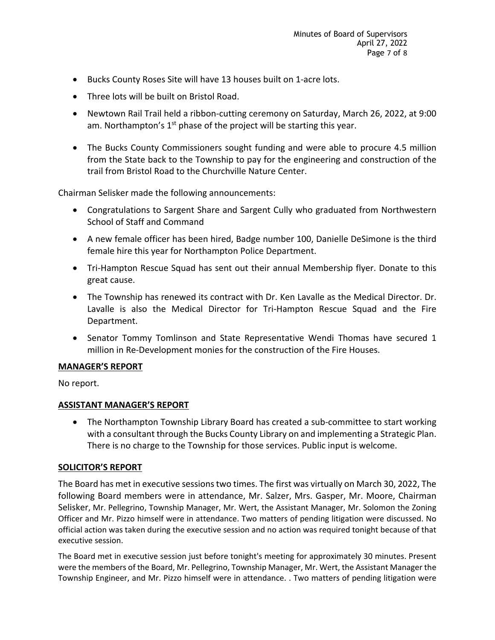- Bucks County Roses Site will have 13 houses built on 1-acre lots.
- Three lots will be built on Bristol Road.
- Newtown Rail Trail held a ribbon-cutting ceremony on Saturday, March 26, 2022, at 9:00 am. Northampton's  $1<sup>st</sup>$  phase of the project will be starting this year.
- The Bucks County Commissioners sought funding and were able to procure 4.5 million from the State back to the Township to pay for the engineering and construction of the trail from Bristol Road to the Churchville Nature Center.

Chairman Selisker made the following announcements:

- Congratulations to Sargent Share and Sargent Cully who graduated from Northwestern School of Staff and Command
- A new female officer has been hired, Badge number 100, Danielle DeSimone is the third female hire this year for Northampton Police Department.
- Tri-Hampton Rescue Squad has sent out their annual Membership flyer. Donate to this great cause.
- The Township has renewed its contract with Dr. Ken Lavalle as the Medical Director. Dr. Lavalle is also the Medical Director for Tri-Hampton Rescue Squad and the Fire Department.
- Senator Tommy Tomlinson and State Representative Wendi Thomas have secured 1 million in Re-Development monies for the construction of the Fire Houses.

## **MANAGER'S REPORT**

No report.

## **ASSISTANT MANAGER'S REPORT**

• The Northampton Township Library Board has created a sub-committee to start working with a consultant through the Bucks County Library on and implementing a Strategic Plan. There is no charge to the Township for those services. Public input is welcome.

## **SOLICITOR'S REPORT**

The Board has met in executive sessions two times. The first was virtually on March 30, 2022, The following Board members were in attendance, Mr. Salzer, Mrs. Gasper, Mr. Moore, Chairman Selisker, Mr. Pellegrino, Township Manager, Mr. Wert, the Assistant Manager, Mr. Solomon the Zoning Officer and Mr. Pizzo himself were in attendance. Two matters of pending litigation were discussed. No official action was taken during the executive session and no action was required tonight because of that executive session.

The Board met in executive session just before tonight's meeting for approximately 30 minutes. Present were the members of the Board, Mr. Pellegrino, Township Manager, Mr. Wert, the Assistant Manager the Township Engineer, and Mr. Pizzo himself were in attendance. . Two matters of pending litigation were